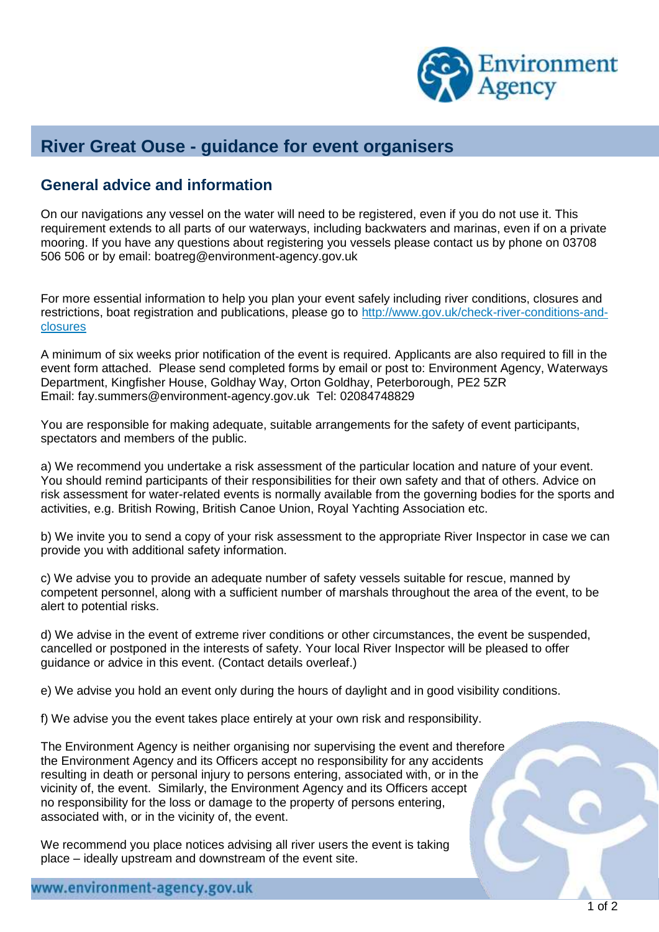

## **River Great Ouse - guidance for event organisers**

## **General advice and information**

On our navigations any vessel on the water will need to be registered, even if you do not use it. This requirement extends to all parts of our waterways, including backwaters and marinas, even if on a private mooring. If you have any questions about registering you vessels please contact us by phone on 03708 506 506 or by email: [boatreg@environment-agency.gov.uk](mailto:boatreg@environment-agency.gov.uk)

For more essential information to help you plan your event safely including river conditions, closures and restrictions, boat registration and publications, please go to [http://www.gov.uk/check-river-conditions-and](http://www.gov.uk/check-river-conditions-and-closures)[closures](http://www.gov.uk/check-river-conditions-and-closures)

A minimum of six weeks prior notification of the event is required. Applicants are also required to fill in the event form attached. Please send completed forms by email or post to: Environment Agency, Waterways Department, Kingfisher House, Goldhay Way, Orton Goldhay, Peterborough, PE2 5ZR Email: fay.summers@environment-agency.gov.uk Tel: 02084748829

You are responsible for making adequate, suitable arrangements for the safety of event participants, spectators and members of the public.

a) We recommend you undertake a risk assessment of the particular location and nature of your event. You should remind participants of their responsibilities for their own safety and that of others. Advice on risk assessment for water-related events is normally available from the governing bodies for the sports and activities, e.g. British Rowing, British Canoe Union, Royal Yachting Association etc.

b) We invite you to send a copy of your risk assessment to the appropriate River Inspector in case we can provide you with additional safety information.

c) We advise you to provide an adequate number of safety vessels suitable for rescue, manned by competent personnel, along with a sufficient number of marshals throughout the area of the event, to be alert to potential risks.

d) We advise in the event of extreme river conditions or other circumstances, the event be suspended, cancelled or postponed in the interests of safety. Your local River Inspector will be pleased to offer guidance or advice in this event. (Contact details overleaf.)

e) We advise you hold an event only during the hours of daylight and in good visibility conditions.

f) We advise you the event takes place entirely at your own risk and responsibility.

The Environment Agency is neither organising nor supervising the event and therefore the Environment Agency and its Officers accept no responsibility for any accidents resulting in death or personal injury to persons entering, associated with, or in the vicinity of, the event. Similarly, the Environment Agency and its Officers accept no responsibility for the loss or damage to the property of persons entering, associated with, or in the vicinity of, the event.

We recommend you place notices advising all river users the event is taking place – ideally upstream and downstream of the event site.